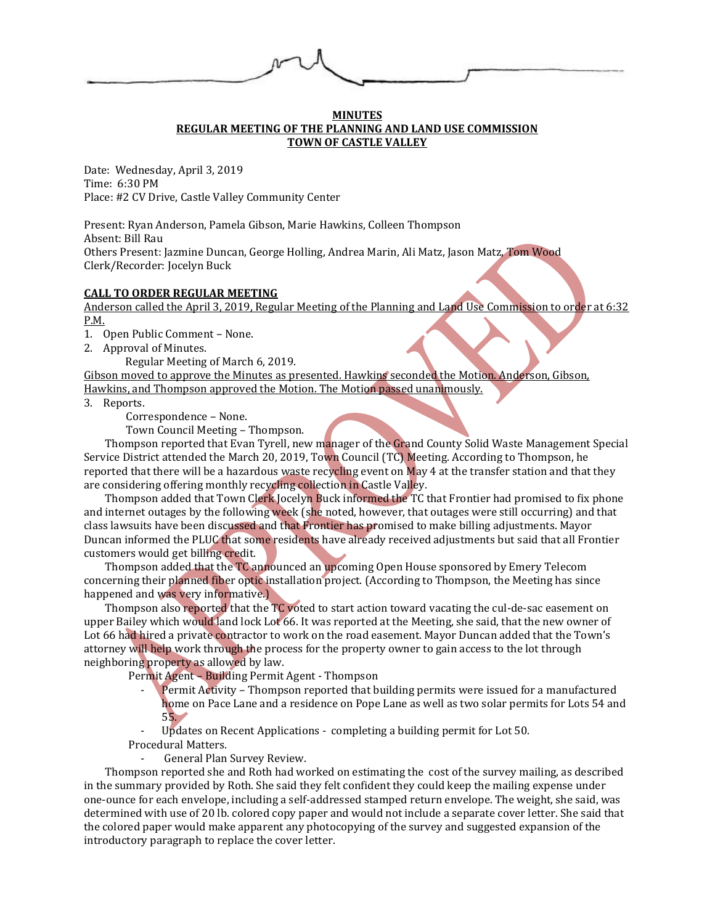# **MINUTES REGULAR MEETING OF THE PLANNING AND LAND USE COMMISSION TOWN OF CASTLE VALLEY**

Date: Wednesday, April 3, 2019 Time: 6:30 PM Place: #2 CV Drive, Castle Valley Community Center

Present: Ryan Anderson, Pamela Gibson, Marie Hawkins, Colleen Thompson Absent: Bill Rau Others Present: Jazmine Duncan, George Holling, Andrea Marin, Ali Matz, Jason Matz, Tom Wood Clerk/Recorder: Jocelyn Buck

#### **CALL TO ORDER REGULAR MEETING**

Anderson called the April 3, 2019, Regular Meeting of the Planning and Land Use Commission to order at 6:32 P.M.

1. Open Public Comment – None.

2. Approval of Minutes.

Regular Meeting of March 6, 2019.

Gibson moved to approve the Minutes as presented. Hawkins seconded the Motion. Anderson, Gibson, Hawkins, and Thompson approved the Motion. The Motion passed unanimously.

- 3. Reports.
	- Correspondence None.

Town Council Meeting – Thompson.

Thompson reported that Evan Tyrell, new manager of the Grand County Solid Waste Management Special Service District attended the March 20, 2019, Town Council (TC) Meeting. According to Thompson, he reported that there will be a hazardous waste recycling event on May 4 at the transfer station and that they are considering offering monthly recycling collection in Castle Valley.

Thompson added that Town Clerk Jocelyn Buck informed the TC that Frontier had promised to fix phone and internet outages by the following week (she noted, however, that outages were still occurring) and that class lawsuits have been discussed and that Frontier has promised to make billing adjustments. Mayor Duncan informed the PLUC that some residents have already received adjustments but said that all Frontier customers would get billing credit.

Thompson added that the TC announced an upcoming Open House sponsored by Emery Telecom concerning their planned fiber optic installation project. (According to Thompson, the Meeting has since happened and was very informative.)

Thompson also reported that the TC voted to start action toward vacating the cul-de-sac easement on upper Bailey which would land lock Lot 66. It was reported at the Meeting, she said, that the new owner of Lot 66 had hired a private contractor to work on the road easement. Mayor Duncan added that the Town's attorney will help work through the process for the property owner to gain access to the lot through neighboring property as allowed by law.

Permit Agent – Building Permit Agent - Thompson

Permit Activity – Thompson reported that building permits were issued for a manufactured home on Pace Lane and a residence on Pope Lane as well as two solar permits for Lots 54 and 55.

Updates on Recent Applications - completing a building permit for Lot 50. Procedural Matters.

General Plan Survey Review.

Thompson reported she and Roth had worked on estimating the cost of the survey mailing, as described in the summary provided by Roth. She said they felt confident they could keep the mailing expense under one-ounce for each envelope, including a self-addressed stamped return envelope. The weight, she said, was determined with use of 20 lb. colored copy paper and would not include a separate cover letter. She said that the colored paper would make apparent any photocopying of the survey and suggested expansion of the introductory paragraph to replace the cover letter.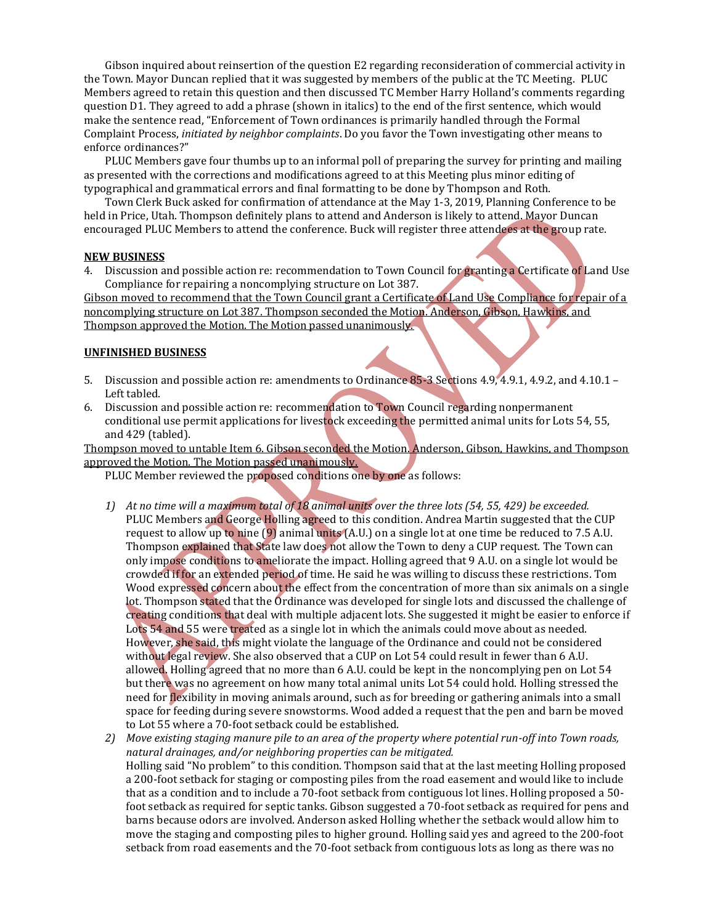Gibson inquired about reinsertion of the question E2 regarding reconsideration of commercial activity in the Town. Mayor Duncan replied that it was suggested by members of the public at the TC Meeting. PLUC Members agreed to retain this question and then discussed TC Member Harry Holland's comments regarding question D1. They agreed to add a phrase (shown in italics) to the end of the first sentence, which would make the sentence read, "Enforcement of Town ordinances is primarily handled through the Formal Complaint Process, *initiated by neighbor complaints*. Do you favor the Town investigating other means to enforce ordinances?"

PLUC Members gave four thumbs up to an informal poll of preparing the survey for printing and mailing as presented with the corrections and modifications agreed to at this Meeting plus minor editing of typographical and grammatical errors and final formatting to be done by Thompson and Roth.

Town Clerk Buck asked for confirmation of attendance at the May 1-3, 2019, Planning Conference to be held in Price, Utah. Thompson definitely plans to attend and Anderson is likely to attend. Mayor Duncan encouraged PLUC Members to attend the conference. Buck will register three attendees at the group rate.

### **NEW BUSINESS**

4. Discussion and possible action re: recommendation to Town Council for granting a Certificate of Land Use Compliance for repairing a noncomplying structure on Lot 387.

Gibson moved to recommend that the Town Council grant a Certificate of Land Use Compliance for repair of a noncomplying structure on Lot 387. Thompson seconded the Motion. Anderson, Gibson, Hawkins, and Thompson approved the Motion. The Motion passed unanimously.

## **UNFINISHED BUSINESS**

- 5. Discussion and possible action re: amendments to Ordinance 85-3 Sections 4.9, 4.9.1, 4.9.2, and 4.10.1 Left tabled.
- 6. Discussion and possible action re: recommendation to Town Council regarding nonpermanent conditional use permit applications for livestock exceeding the permitted animal units for Lots 54, 55, and 429 (tabled).

Thompson moved to untable Item 6. Gibson seconded the Motion. Anderson, Gibson, Hawkins, and Thompson approved the Motion. The Motion passed unanimously.

PLUC Member reviewed the proposed conditions one by one as follows:

- *1) At no time will a maximum total of 18 animal units over the three lots (54, 55, 429) be exceeded.* PLUC Members and George Holling agreed to this condition. Andrea Martin suggested that the CUP request to allow up to nine (9) animal units (A.U.) on a single lot at one time be reduced to 7.5 A.U. Thompson explained that State law does not allow the Town to deny a CUP request. The Town can only impose conditions to ameliorate the impact. Holling agreed that 9 A.U. on a single lot would be crowded if for an extended period of time. He said he was willing to discuss these restrictions. Tom Wood expressed concern about the effect from the concentration of more than six animals on a single lot. Thompson stated that the Ordinance was developed for single lots and discussed the challenge of creating conditions that deal with multiple adjacent lots. She suggested it might be easier to enforce if Lots 54 and 55 were treated as a single lot in which the animals could move about as needed. However, she said, this might violate the language of the Ordinance and could not be considered without legal review. She also observed that a CUP on Lot 54 could result in fewer than 6 A.U. allowed. Holling agreed that no more than 6 A.U. could be kept in the noncomplying pen on Lot 54 but there was no agreement on how many total animal units Lot 54 could hold. Holling stressed the need for flexibility in moving animals around, such as for breeding or gathering animals into a small space for feeding during severe snowstorms. Wood added a request that the pen and barn be moved to Lot 55 where a 70-foot setback could be established.
- *2) Move existing staging manure pile to an area of the property where potential run-off into Town roads, natural drainages, and/or neighboring properties can be mitigated.*  Holling said "No problem" to this condition. Thompson said that at the last meeting Holling proposed a 200-foot setback for staging or composting piles from the road easement and would like to include that as a condition and to include a 70-foot setback from contiguous lot lines. Holling proposed a 50 foot setback as required for septic tanks. Gibson suggested a 70-foot setback as required for pens and barns because odors are involved. Anderson asked Holling whether the setback would allow him to move the staging and composting piles to higher ground. Holling said yes and agreed to the 200-foot setback from road easements and the 70-foot setback from contiguous lots as long as there was no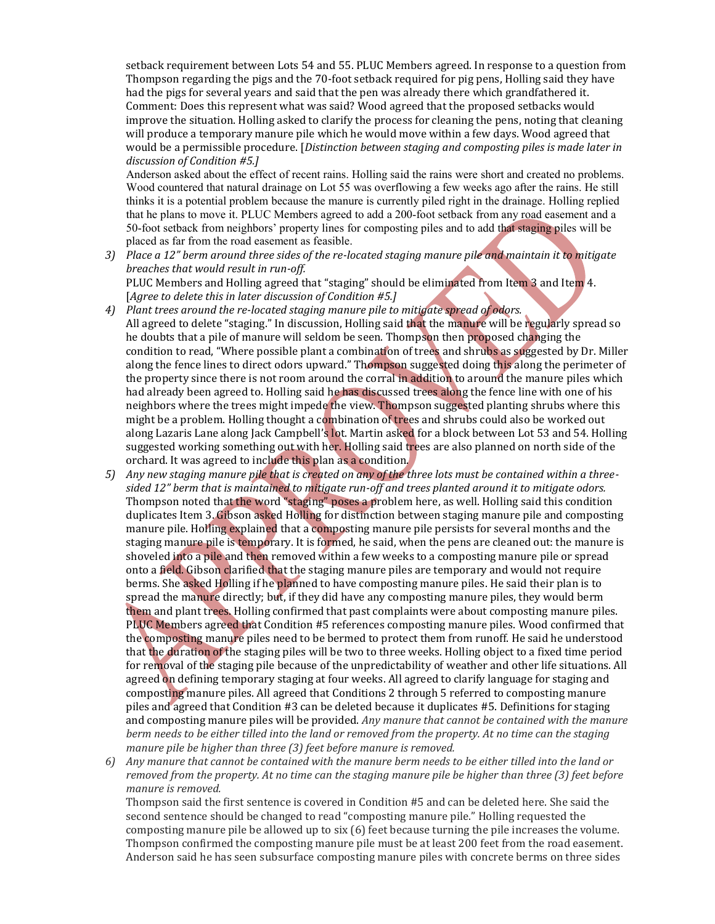setback requirement between Lots 54 and 55. PLUC Members agreed. In response to a question from Thompson regarding the pigs and the 70-foot setback required for pig pens, Holling said they have had the pigs for several years and said that the pen was already there which grandfathered it. Comment: Does this represent what was said? Wood agreed that the proposed setbacks would improve the situation. Holling asked to clarify the process for cleaning the pens, noting that cleaning will produce a temporary manure pile which he would move within a few days. Wood agreed that would be a permissible procedure. [*Distinction between staging and composting piles is made later in discussion of Condition #5.]*

Anderson asked about the effect of recent rains. Holling said the rains were short and created no problems. Wood countered that natural drainage on Lot 55 was overflowing a few weeks ago after the rains. He still thinks it is a potential problem because the manure is currently piled right in the drainage. Holling replied that he plans to move it. PLUC Members agreed to add a 200-foot setback from any road easement and a 50-foot setback from neighbors' property lines for composting piles and to add that staging piles will be placed as far from the road easement as feasible.

- *3) Place a 12" berm around three sides of the re-located staging manure pile and maintain it to mitigate breaches that would result in run-off.* PLUC Members and Holling agreed that "staging" should be eliminated from Item 3 and Item 4. [*Agree to delete this in later discussion of Condition #5.]*
- *4) Plant trees around the re-located staging manure pile to mitigate spread of odors.* All agreed to delete "staging." In discussion, Holling said that the manure will be regularly spread so he doubts that a pile of manure will seldom be seen. Thompson then proposed changing the condition to read, "Where possible plant a combination of trees and shrubs as suggested by Dr. Miller along the fence lines to direct odors upward." Thompson suggested doing this along the perimeter of the property since there is not room around the corral in addition to around the manure piles which had already been agreed to. Holling said he has discussed trees along the fence line with one of his neighbors where the trees might impede the view. Thompson suggested planting shrubs where this might be a problem. Holling thought a combination of trees and shrubs could also be worked out along Lazaris Lane along Jack Campbell's lot. Martin asked for a block between Lot 53 and 54. Holling suggested working something out with her. Holling said trees are also planned on north side of the orchard. It was agreed to include this plan as a condition.
- *5) Any new staging manure pile that is created on any of the three lots must be contained within a threesided 12" berm that is maintained to mitigate run-off and trees planted around it to mitigate odors.* Thompson noted that the word "staging" poses a problem here, as well. Holling said this condition duplicates Item 3. Gibson asked Holling for distinction between staging manure pile and composting manure pile. Holling explained that a composting manure pile persists for several months and the staging manure pile is temporary. It is formed, he said, when the pens are cleaned out: the manure is shoveled into a pile and then removed within a few weeks to a composting manure pile or spread onto a field. Gibson clarified that the staging manure piles are temporary and would not require berms. She asked Holling if he planned to have composting manure piles. He said their plan is to spread the manure directly; but, if they did have any composting manure piles, they would berm them and plant trees. Holling confirmed that past complaints were about composting manure piles. PLUC Members agreed that Condition #5 references composting manure piles. Wood confirmed that the composting manure piles need to be bermed to protect them from runoff. He said he understood that the duration of the staging piles will be two to three weeks. Holling object to a fixed time period for removal of the staging pile because of the unpredictability of weather and other life situations. All agreed on defining temporary staging at four weeks. All agreed to clarify language for staging and composting manure piles. All agreed that Conditions 2 through 5 referred to composting manure piles and agreed that Condition #3 can be deleted because it duplicates #5. Definitions for staging and composting manure piles will be provided. *Any manure that cannot be contained with the manure berm needs to be either tilled into the land or removed from the property. At no time can the staging manure pile be higher than three (3) feet before manure is removed.*
- *6) Any manure that cannot be contained with the manure berm needs to be either tilled into the land or removed from the property. At no time can the staging manure pile be higher than three (3) feet before manure is removed.*

Thompson said the first sentence is covered in Condition #5 and can be deleted here. She said the second sentence should be changed to read "composting manure pile." Holling requested the composting manure pile be allowed up to six (6) feet because turning the pile increases the volume. Thompson confirmed the composting manure pile must be at least 200 feet from the road easement. Anderson said he has seen subsurface composting manure piles with concrete berms on three sides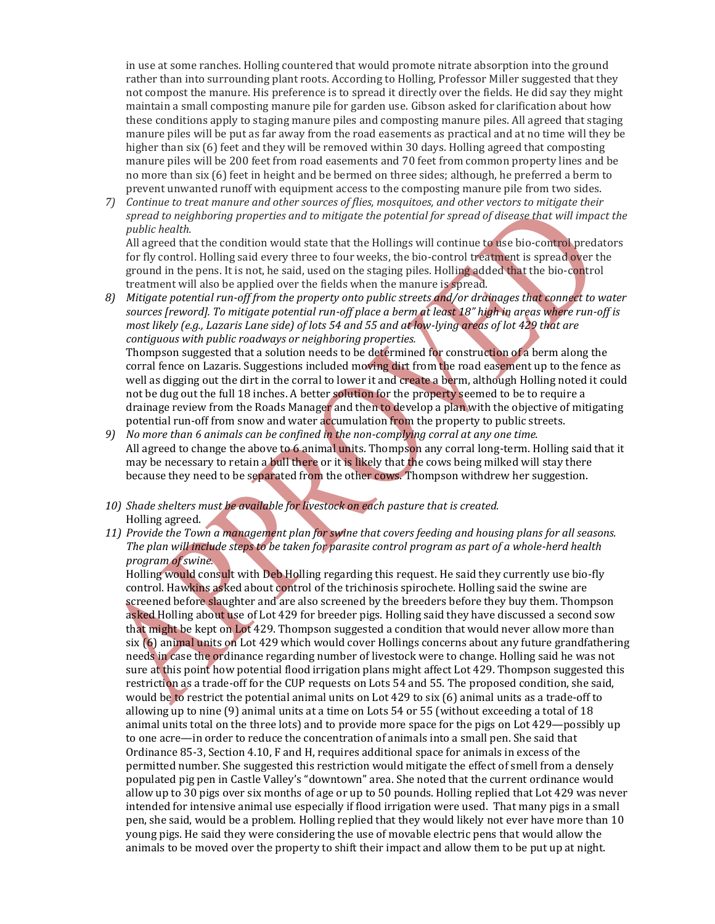in use at some ranches. Holling countered that would promote nitrate absorption into the ground rather than into surrounding plant roots. According to Holling, Professor Miller suggested that they not compost the manure. His preference is to spread it directly over the fields. He did say they might maintain a small composting manure pile for garden use. Gibson asked for clarification about how these conditions apply to staging manure piles and composting manure piles. All agreed that staging manure piles will be put as far away from the road easements as practical and at no time will they be higher than six (6) feet and they will be removed within 30 days. Holling agreed that composting manure piles will be 200 feet from road easements and 70 feet from common property lines and be no more than six (6) feet in height and be bermed on three sides; although, he preferred a berm to prevent unwanted runoff with equipment access to the composting manure pile from two sides.

*7) Continue to treat manure and other sources of flies, mosquitoes, and other vectors to mitigate their spread to neighboring properties and to mitigate the potential for spread of disease that will impact the public health.*

All agreed that the condition would state that the Hollings will continue to use bio-control predators for fly control. Holling said every three to four weeks, the bio-control treatment is spread over the ground in the pens. It is not, he said, used on the staging piles. Holling added that the bio-control treatment will also be applied over the fields when the manure is spread.

*8) Mitigate potential run-off from the property onto public streets and/or drainages that connect to water sources [reword]. To mitigate potential run-off place a berm at least 18" high in areas where run-off is most likely (e.g., Lazaris Lane side) of lots 54 and 55 and at low-lying areas of lot 429 that are contiguous with public roadways or neighboring properties.* Thompson suggested that a solution needs to be determined for construction of a berm along the

corral fence on Lazaris. Suggestions included moving dirt from the road easement up to the fence as well as digging out the dirt in the corral to lower it and create a berm, although Holling noted it could not be dug out the full 18 inches. A better solution for the property seemed to be to require a drainage review from the Roads Manager and then to develop a plan with the objective of mitigating potential run-off from snow and water accumulation from the property to public streets.

- *9) No more than 6 animals can be confined in the non-complying corral at any one time.* All agreed to change the above to 6 animal units. Thompson any corral long-term. Holling said that it may be necessary to retain a bull there or it is likely that the cows being milked will stay there because they need to be separated from the other cows. Thompson withdrew her suggestion.
- *10) Shade shelters must be available for livestock on each pasture that is created.*  Holling agreed.
- *11) Provide the Town a management plan for swine that covers feeding and housing plans for all seasons. The plan will include steps to be taken for parasite control program as part of a whole-herd health program of swine.*

Holling would consult with Deb Holling regarding this request. He said they currently use bio-fly control. Hawkins asked about control of the trichinosis spirochete. Holling said the swine are screened before slaughter and are also screened by the breeders before they buy them. Thompson asked Holling about use of Lot 429 for breeder pigs. Holling said they have discussed a second sow that might be kept on Lot 429. Thompson suggested a condition that would never allow more than six (6) animal units on Lot 429 which would cover Hollings concerns about any future grandfathering needs in case the ordinance regarding number of livestock were to change. Holling said he was not sure at this point how potential flood irrigation plans might affect Lot 429. Thompson suggested this restriction as a trade-off for the CUP requests on Lots 54 and 55. The proposed condition, she said, would be to restrict the potential animal units on Lot 429 to six (6) animal units as a trade-off to allowing up to nine (9) animal units at a time on Lots 54 or 55 (without exceeding a total of 18 animal units total on the three lots) and to provide more space for the pigs on Lot 429—possibly up to one acre—in order to reduce the concentration of animals into a small pen. She said that Ordinance 85-3, Section 4.10, F and H, requires additional space for animals in excess of the permitted number. She suggested this restriction would mitigate the effect of smell from a densely populated pig pen in Castle Valley's "downtown" area. She noted that the current ordinance would allow up to 30 pigs over six months of age or up to 50 pounds. Holling replied that Lot 429 was never intended for intensive animal use especially if flood irrigation were used. That many pigs in a small pen, she said, would be a problem. Holling replied that they would likely not ever have more than 10 young pigs. He said they were considering the use of movable electric pens that would allow the animals to be moved over the property to shift their impact and allow them to be put up at night.